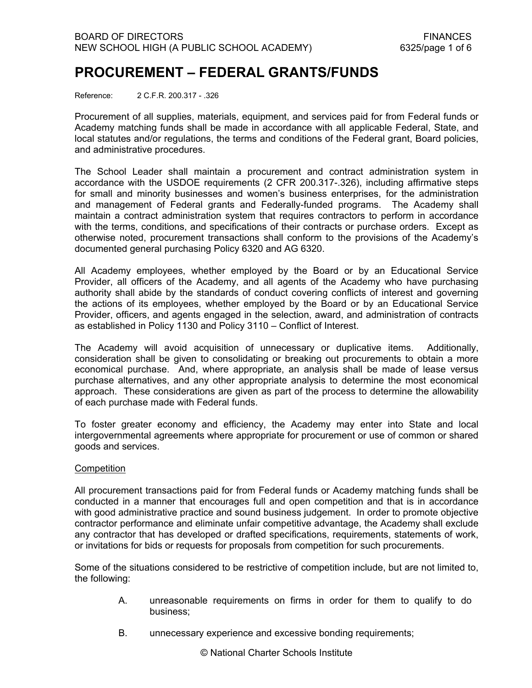# **PROCUREMENT – FEDERAL GRANTS/FUNDS**

Reference: 2 C.F.R. 200.317 - .326

Procurement of all supplies, materials, equipment, and services paid for from Federal funds or Academy matching funds shall be made in accordance with all applicable Federal, State, and local statutes and/or regulations, the terms and conditions of the Federal grant, Board policies, and administrative procedures.

The School Leader shall maintain a procurement and contract administration system in accordance with the USDOE requirements (2 CFR 200.317-.326), including affirmative steps for small and minority businesses and women's business enterprises, for the administration and management of Federal grants and Federally-funded programs. The Academy shall maintain a contract administration system that requires contractors to perform in accordance with the terms, conditions, and specifications of their contracts or purchase orders. Except as otherwise noted, procurement transactions shall conform to the provisions of the Academy's documented general purchasing Policy 6320 and AG 6320.

All Academy employees, whether employed by the Board or by an Educational Service Provider, all officers of the Academy, and all agents of the Academy who have purchasing authority shall abide by the standards of conduct covering conflicts of interest and governing the actions of its employees, whether employed by the Board or by an Educational Service Provider, officers, and agents engaged in the selection, award, and administration of contracts as established in Policy 1130 and Policy 3110 – Conflict of Interest.

The Academy will avoid acquisition of unnecessary or duplicative items. Additionally, consideration shall be given to consolidating or breaking out procurements to obtain a more economical purchase. And, where appropriate, an analysis shall be made of lease versus purchase alternatives, and any other appropriate analysis to determine the most economical approach. These considerations are given as part of the process to determine the allowability of each purchase made with Federal funds.

To foster greater economy and efficiency, the Academy may enter into State and local intergovernmental agreements where appropriate for procurement or use of common or shared goods and services.

# **Competition**

All procurement transactions paid for from Federal funds or Academy matching funds shall be conducted in a manner that encourages full and open competition and that is in accordance with good administrative practice and sound business judgement. In order to promote objective contractor performance and eliminate unfair competitive advantage, the Academy shall exclude any contractor that has developed or drafted specifications, requirements, statements of work, or invitations for bids or requests for proposals from competition for such procurements.

Some of the situations considered to be restrictive of competition include, but are not limited to, the following:

- A. unreasonable requirements on firms in order for them to qualify to do business;
- B. unnecessary experience and excessive bonding requirements;

© National Charter Schools Institute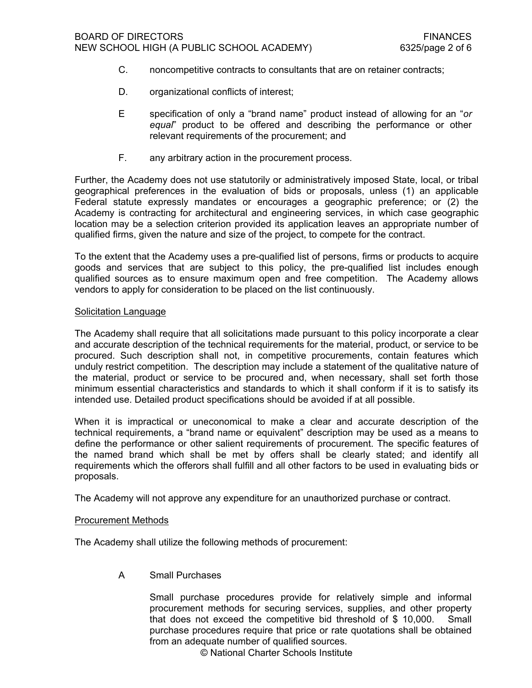- C. noncompetitive contracts to consultants that are on retainer contracts;
- D. organizational conflicts of interest:
- E specification of only a "brand name" product instead of allowing for an "*or equal*" product to be offered and describing the performance or other relevant requirements of the procurement; and
- F. any arbitrary action in the procurement process.

Further, the Academy does not use statutorily or administratively imposed State, local, or tribal geographical preferences in the evaluation of bids or proposals, unless (1) an applicable Federal statute expressly mandates or encourages a geographic preference; or (2) the Academy is contracting for architectural and engineering services, in which case geographic location may be a selection criterion provided its application leaves an appropriate number of qualified firms, given the nature and size of the project, to compete for the contract.

To the extent that the Academy uses a pre-qualified list of persons, firms or products to acquire goods and services that are subject to this policy, the pre-qualified list includes enough qualified sources as to ensure maximum open and free competition. The Academy allows vendors to apply for consideration to be placed on the list continuously.

### Solicitation Language

The Academy shall require that all solicitations made pursuant to this policy incorporate a clear and accurate description of the technical requirements for the material, product, or service to be procured. Such description shall not, in competitive procurements, contain features which unduly restrict competition. The description may include a statement of the qualitative nature of the material, product or service to be procured and, when necessary, shall set forth those minimum essential characteristics and standards to which it shall conform if it is to satisfy its intended use. Detailed product specifications should be avoided if at all possible.

When it is impractical or uneconomical to make a clear and accurate description of the technical requirements, a "brand name or equivalent" description may be used as a means to define the performance or other salient requirements of procurement. The specific features of the named brand which shall be met by offers shall be clearly stated; and identify all requirements which the offerors shall fulfill and all other factors to be used in evaluating bids or proposals.

The Academy will not approve any expenditure for an unauthorized purchase or contract.

#### Procurement Methods

The Academy shall utilize the following methods of procurement:

A Small Purchases

Small purchase procedures provide for relatively simple and informal procurement methods for securing services, supplies, and other property that does not exceed the competitive bid threshold of \$ 10,000. Small purchase procedures require that price or rate quotations shall be obtained from an adequate number of qualified sources.

© National Charter Schools Institute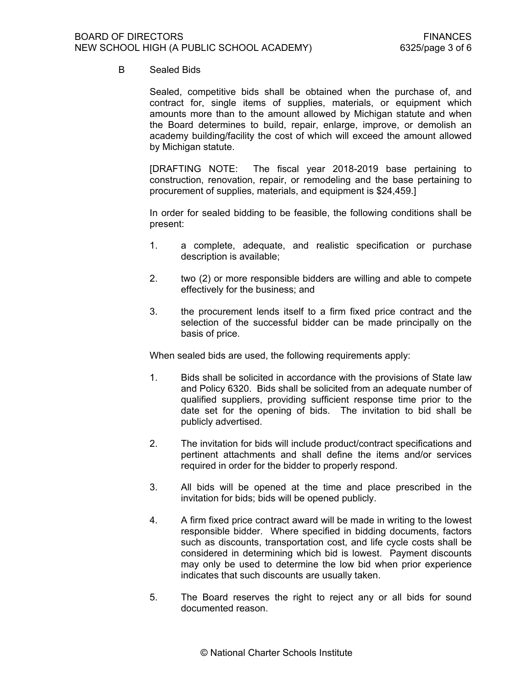# B Sealed Bids

Sealed, competitive bids shall be obtained when the purchase of, and contract for, single items of supplies, materials, or equipment which amounts more than to the amount allowed by Michigan statute and when the Board determines to build, repair, enlarge, improve, or demolish an academy building/facility the cost of which will exceed the amount allowed by Michigan statute.

[DRAFTING NOTE: The fiscal year 2018-2019 base pertaining to construction, renovation, repair, or remodeling and the base pertaining to procurement of supplies, materials, and equipment is \$24,459.]

In order for sealed bidding to be feasible, the following conditions shall be present:

- 1. a complete, adequate, and realistic specification or purchase description is available;
- 2. two (2) or more responsible bidders are willing and able to compete effectively for the business; and
- 3. the procurement lends itself to a firm fixed price contract and the selection of the successful bidder can be made principally on the basis of price.

When sealed bids are used, the following requirements apply:

- 1. Bids shall be solicited in accordance with the provisions of State law and Policy 6320. Bids shall be solicited from an adequate number of qualified suppliers, providing sufficient response time prior to the date set for the opening of bids. The invitation to bid shall be publicly advertised.
- 2. The invitation for bids will include product/contract specifications and pertinent attachments and shall define the items and/or services required in order for the bidder to properly respond.
- 3. All bids will be opened at the time and place prescribed in the invitation for bids; bids will be opened publicly.
- 4. A firm fixed price contract award will be made in writing to the lowest responsible bidder. Where specified in bidding documents, factors such as discounts, transportation cost, and life cycle costs shall be considered in determining which bid is lowest. Payment discounts may only be used to determine the low bid when prior experience indicates that such discounts are usually taken.
- 5. The Board reserves the right to reject any or all bids for sound documented reason.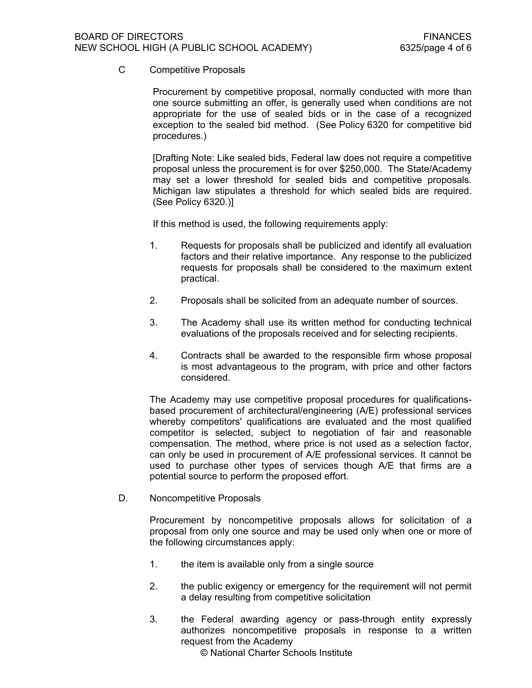C Competitive Proposals

Procurement by competitive proposal, normally conducted with more than one source submitting an offer, is generally used when conditions are not appropriate for the use of sealed bids or in the case of a recognized exception to the sealed bid method. (See Policy 6320 for competitive bid procedures.)

[Drafting Note: Like sealed bids, Federal law does not require a competitive proposal unless the procurement is for over \$250,000. The State/Academy may set a lower threshold for sealed bids and competitive proposals. Michigan law stipulates a threshold for which sealed bids are required. (See Policy 6320.)]

If this method is used, the following requirements apply:

- 1. Requests for proposals shall be publicized and identify all evaluation factors and their relative importance. Any response to the publicized requests for proposals shall be considered to the maximum extent practical.
- 2. Proposals shall be solicited from an adequate number of sources.
- 3. The Academy shall use its written method for conducting technical evaluations of the proposals received and for selecting recipients.
- 4. Contracts shall be awarded to the responsible firm whose proposal is most advantageous to the program, with price and other factors considered.

The Academy may use competitive proposal procedures for qualificationsbased procurement of architectural/engineering (A/E) professional services whereby competitors' qualifications are evaluated and the most qualified competitor is selected, subject to negotiation of fair and reasonable compensation. The method, where price is not used as a selection factor, can only be used in procurement of A/E professional services. It cannot be used to purchase other types of services though A/E that firms are a potential source to perform the proposed effort.

D. Noncompetitive Proposals

Procurement by noncompetitive proposals allows for solicitation of a proposal from only one source and may be used only when one or more of the following circumstances apply:

- 1. the item is available only from a single source
- 2. the public exigency or emergency for the requirement will not permit a delay resulting from competitive solicitation
- 3. the Federal awarding agency or pass-through entity expressly authorizes noncompetitive proposals in response to a written request from the Academy
	- © National Charter Schools Institute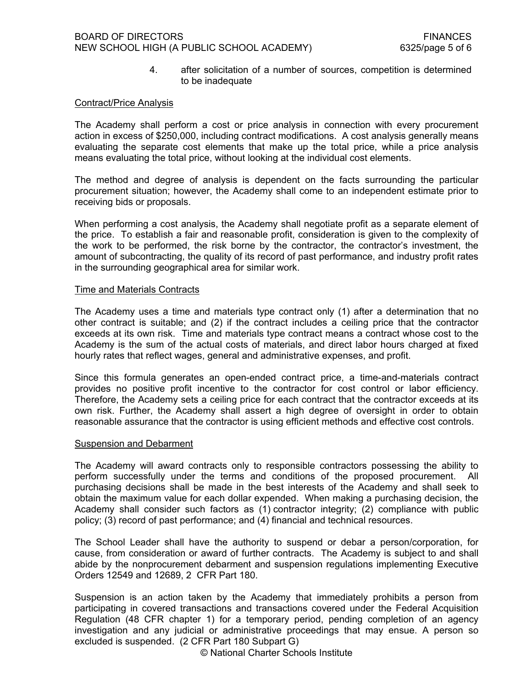4. after solicitation of a number of sources, competition is determined to be inadequate

## Contract/Price Analysis

The Academy shall perform a cost or price analysis in connection with every procurement action in excess of \$250,000, including contract modifications. A cost analysis generally means evaluating the separate cost elements that make up the total price, while a price analysis means evaluating the total price, without looking at the individual cost elements.

The method and degree of analysis is dependent on the facts surrounding the particular procurement situation; however, the Academy shall come to an independent estimate prior to receiving bids or proposals.

When performing a cost analysis, the Academy shall negotiate profit as a separate element of the price. To establish a fair and reasonable profit, consideration is given to the complexity of the work to be performed, the risk borne by the contractor, the contractor's investment, the amount of subcontracting, the quality of its record of past performance, and industry profit rates in the surrounding geographical area for similar work.

#### Time and Materials Contracts

The Academy uses a time and materials type contract only (1) after a determination that no other contract is suitable; and (2) if the contract includes a ceiling price that the contractor exceeds at its own risk. Time and materials type contract means a contract whose cost to the Academy is the sum of the actual costs of materials, and direct labor hours charged at fixed hourly rates that reflect wages, general and administrative expenses, and profit.

Since this formula generates an open-ended contract price, a time-and-materials contract provides no positive profit incentive to the contractor for cost control or labor efficiency. Therefore, the Academy sets a ceiling price for each contract that the contractor exceeds at its own risk. Further, the Academy shall assert a high degree of oversight in order to obtain reasonable assurance that the contractor is using efficient methods and effective cost controls.

### Suspension and Debarment

The Academy will award contracts only to responsible contractors possessing the ability to perform successfully under the terms and conditions of the proposed procurement. All purchasing decisions shall be made in the best interests of the Academy and shall seek to obtain the maximum value for each dollar expended. When making a purchasing decision, the Academy shall consider such factors as (1) contractor integrity; (2) compliance with public policy; (3) record of past performance; and (4) financial and technical resources.

The School Leader shall have the authority to suspend or debar a person/corporation, for cause, from consideration or award of further contracts. The Academy is subject to and shall abide by the nonprocurement debarment and suspension regulations implementing Executive Orders 12549 and 12689, 2 CFR Part 180.

Suspension is an action taken by the Academy that immediately prohibits a person from participating in covered transactions and transactions covered under the Federal Acquisition Regulation (48 CFR chapter 1) for a temporary period, pending completion of an agency investigation and any judicial or administrative proceedings that may ensue. A person so excluded is suspended. (2 CFR Part 180 Subpart G)

© National Charter Schools Institute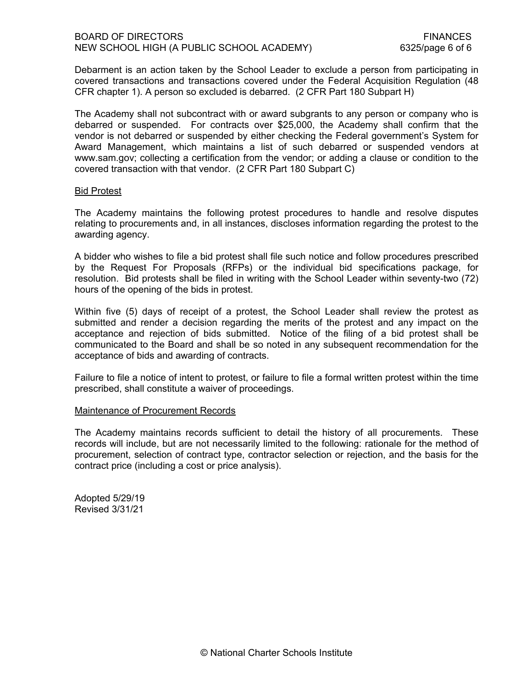Debarment is an action taken by the School Leader to exclude a person from participating in covered transactions and transactions covered under the Federal Acquisition Regulation (48 CFR chapter 1). A person so excluded is debarred. (2 CFR Part 180 Subpart H)

The Academy shall not subcontract with or award subgrants to any person or company who is debarred or suspended. For contracts over \$25,000, the Academy shall confirm that the vendor is not debarred or suspended by either checking the Federal government's System for Award Management, which maintains a list of such debarred or suspended vendors at www.sam.gov; collecting a certification from the vendor; or adding a clause or condition to the covered transaction with that vendor. (2 CFR Part 180 Subpart C)

### Bid Protest

The Academy maintains the following protest procedures to handle and resolve disputes relating to procurements and, in all instances, discloses information regarding the protest to the awarding agency.

A bidder who wishes to file a bid protest shall file such notice and follow procedures prescribed by the Request For Proposals (RFPs) or the individual bid specifications package, for resolution. Bid protests shall be filed in writing with the School Leader within seventy-two (72) hours of the opening of the bids in protest.

Within five (5) days of receipt of a protest, the School Leader shall review the protest as submitted and render a decision regarding the merits of the protest and any impact on the acceptance and rejection of bids submitted. Notice of the filing of a bid protest shall be communicated to the Board and shall be so noted in any subsequent recommendation for the acceptance of bids and awarding of contracts.

Failure to file a notice of intent to protest, or failure to file a formal written protest within the time prescribed, shall constitute a waiver of proceedings.

# Maintenance of Procurement Records

The Academy maintains records sufficient to detail the history of all procurements. These records will include, but are not necessarily limited to the following: rationale for the method of procurement, selection of contract type, contractor selection or rejection, and the basis for the contract price (including a cost or price analysis).

Adopted 5/29/19 Revised 3/31/21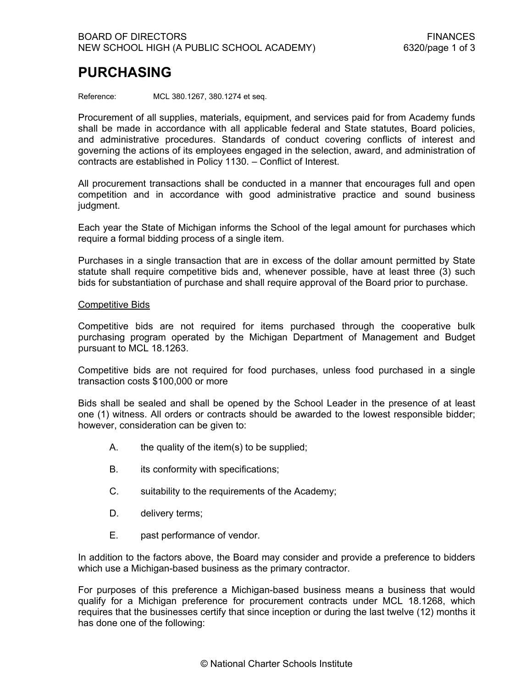# **PURCHASING**

Reference: MCL 380.1267, 380.1274 et seq.

Procurement of all supplies, materials, equipment, and services paid for from Academy funds shall be made in accordance with all applicable federal and State statutes, Board policies, and administrative procedures. Standards of conduct covering conflicts of interest and governing the actions of its employees engaged in the selection, award, and administration of contracts are established in Policy 1130. – Conflict of Interest.

All procurement transactions shall be conducted in a manner that encourages full and open competition and in accordance with good administrative practice and sound business judgment.

Each year the State of Michigan informs the School of the legal amount for purchases which require a formal bidding process of a single item.

Purchases in a single transaction that are in excess of the dollar amount permitted by State statute shall require competitive bids and, whenever possible, have at least three (3) such bids for substantiation of purchase and shall require approval of the Board prior to purchase.

### Competitive Bids

Competitive bids are not required for items purchased through the cooperative bulk purchasing program operated by the Michigan Department of Management and Budget pursuant to MCL 18.1263.

Competitive bids are not required for food purchases, unless food purchased in a single transaction costs \$100,000 or more

Bids shall be sealed and shall be opened by the School Leader in the presence of at least one (1) witness. All orders or contracts should be awarded to the lowest responsible bidder; however, consideration can be given to:

- A. the quality of the item(s) to be supplied;
- B. its conformity with specifications;
- C. suitability to the requirements of the Academy;
- D. delivery terms;
- E. past performance of vendor.

In addition to the factors above, the Board may consider and provide a preference to bidders which use a Michigan-based business as the primary contractor.

For purposes of this preference a Michigan-based business means a business that would qualify for a Michigan preference for procurement contracts under MCL 18.1268, which requires that the businesses certify that since inception or during the last twelve (12) months it has done one of the following: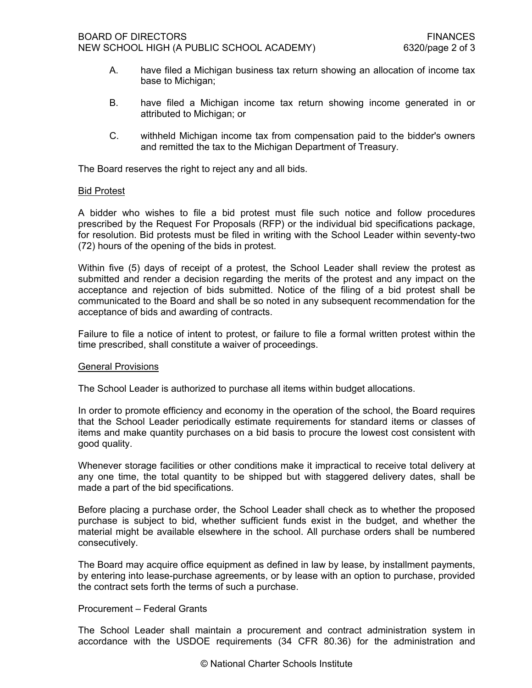- A. have filed a Michigan business tax return showing an allocation of income tax base to Michigan;
- B. have filed a Michigan income tax return showing income generated in or attributed to Michigan; or
- C. withheld Michigan income tax from compensation paid to the bidder's owners and remitted the tax to the Michigan Department of Treasury.

The Board reserves the right to reject any and all bids.

### Bid Protest

A bidder who wishes to file a bid protest must file such notice and follow procedures prescribed by the Request For Proposals (RFP) or the individual bid specifications package, for resolution. Bid protests must be filed in writing with the School Leader within seventy-two (72) hours of the opening of the bids in protest.

Within five (5) days of receipt of a protest, the School Leader shall review the protest as submitted and render a decision regarding the merits of the protest and any impact on the acceptance and rejection of bids submitted. Notice of the filing of a bid protest shall be communicated to the Board and shall be so noted in any subsequent recommendation for the acceptance of bids and awarding of contracts.

Failure to file a notice of intent to protest, or failure to file a formal written protest within the time prescribed, shall constitute a waiver of proceedings.

#### General Provisions

The School Leader is authorized to purchase all items within budget allocations.

In order to promote efficiency and economy in the operation of the school, the Board requires that the School Leader periodically estimate requirements for standard items or classes of items and make quantity purchases on a bid basis to procure the lowest cost consistent with good quality.

Whenever storage facilities or other conditions make it impractical to receive total delivery at any one time, the total quantity to be shipped but with staggered delivery dates, shall be made a part of the bid specifications.

Before placing a purchase order, the School Leader shall check as to whether the proposed purchase is subject to bid, whether sufficient funds exist in the budget, and whether the material might be available elsewhere in the school. All purchase orders shall be numbered consecutively.

The Board may acquire office equipment as defined in law by lease, by installment payments, by entering into lease-purchase agreements, or by lease with an option to purchase, provided the contract sets forth the terms of such a purchase.

# Procurement – Federal Grants

The School Leader shall maintain a procurement and contract administration system in accordance with the USDOE requirements (34 CFR 80.36) for the administration and